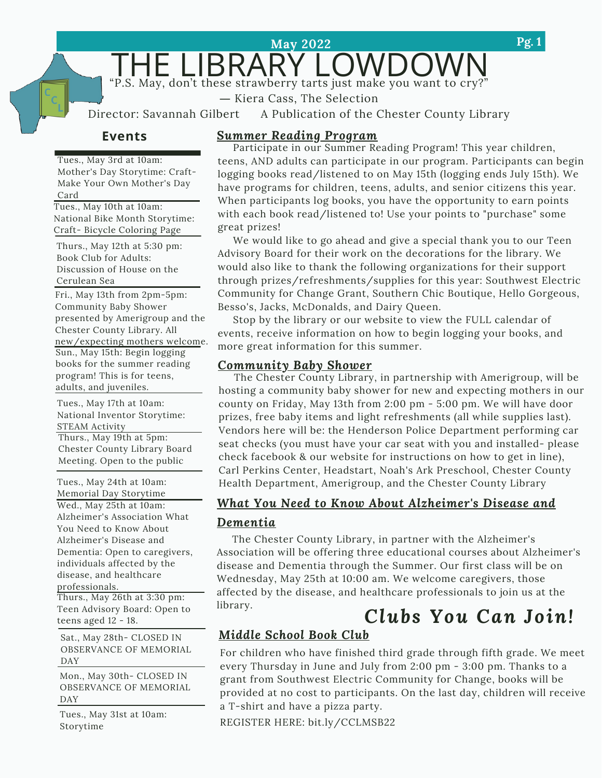THE LIBRARY LOWDOWN

**May 2022**

― Kiera Cass, The [Selection](https://www.goodreads.com/work/quotes/15413183)

Director: Savannah Gilbert A Publication of the Chester County Library

#### **Events**

Tues., May 3rd at 10am: Mother's Day Storytime: Craft-Make Your Own Mother's Day Card

Tues., May 10th at 10am: National Bike Month Storytime: Craft- Bicycle Coloring Page

Thurs., May 12th at 5:30 pm: Book Club for Adults: Discussion of House on the Cerulean Sea

Fri., May 13th from 2pm-5pm: Community Baby Shower presented by Amerigroup and the Chester County Library. All new/expecting mothers welcome. Sun., May 15th: Begin logging books for the summer reading program! This is for teens, adults, and juveniles.

Thurs., May 19th at 5pm: Chester County Library Board Meeting. Open to the public Tues., May 17th at 10am: National Inventor Storytime: STEAM Activity

Tues., May 24th at 10am: Memorial Day Storytime Wed., May 25th at 10am: Alzheimer's Association What You Need to Know About Alzheimer's Disease and Dementia: Open to caregivers, individuals affected by the disease, and healthcare professionals.

Thurs., May 26th at 3:30 pm: Teen Advisory Board: Open to teens aged 12 - 18.

Sat., May 28th- CLOSED IN OBSERVANCE OF MEMORIAL DAY

Mon., May 30th- CLOSED IN OBSERVANCE OF MEMORIAL DAY

Tues., May 31st at 10am: Storytime

#### *Summer Reading Program*

Participate in our Summer Reading Program! This year children, teens, AND adults can participate in our program. Participants can begin logging books read/listened to on May 15th (logging ends July 15th). We have programs for children, teens, adults, and senior citizens this year. When participants log books, you have the opportunity to earn points with each book read/listened to! Use your points to "purchase" some great prizes!

We would like to go ahead and give a special thank you to our Teen Advisory Board for their work on the decorations for the library. We would also like to thank the following organizations for their support through prizes/refreshments/supplies for this year: Southwest Electric Community for Change Grant, Southern Chic Boutique, Hello Gorgeous, Besso's, Jacks, McDonalds, and Dairy Queen.

Stop by the library or our website to view the FULL calendar of events, receive information on how to begin logging your books, and more great information for this summer.

#### *Community Baby Shower*

The Chester County Library, in partnership with Amerigroup, will be hosting a community baby shower for new and expecting mothers in our county on Friday, May 13th from 2:00 pm - 5:00 pm. We will have door prizes, free baby items and light refreshments (all while supplies last). Vendors here will be: the Henderson Police Department performing car seat checks (you must have your car seat with you and installed- please check facebook & our website for instructions on how to get in line), Carl Perkins Center, Headstart, Noah's Ark Preschool, Chester County Health Department, Amerigroup, and the Chester County Library

### . *Dementia What You Need to Know About Alzheimer's Disease and*

The Chester County Library, in partner with the Alzheimer's Association will be offering three educational courses about Alzheimer's disease and Dementia through the Summer. Our first class will be on Wednesday, May 25th at 10:00 am. We welcome caregivers, those affected by the disease, and healthcare professionals to join us at the library.

## *Clubs You Can Join!*

### *Middle School Book Club*

For children who have finished third grade through fifth grade. We meet every Thursday in June and July from 2:00 pm - 3:00 pm. Thanks to a grant from Southwest Electric Community for Change, books will be provided at no cost to participants. On the last day, children will receive a T-shirt and have a pizza party.

REGISTER HERE: bit.ly/CCLMSB22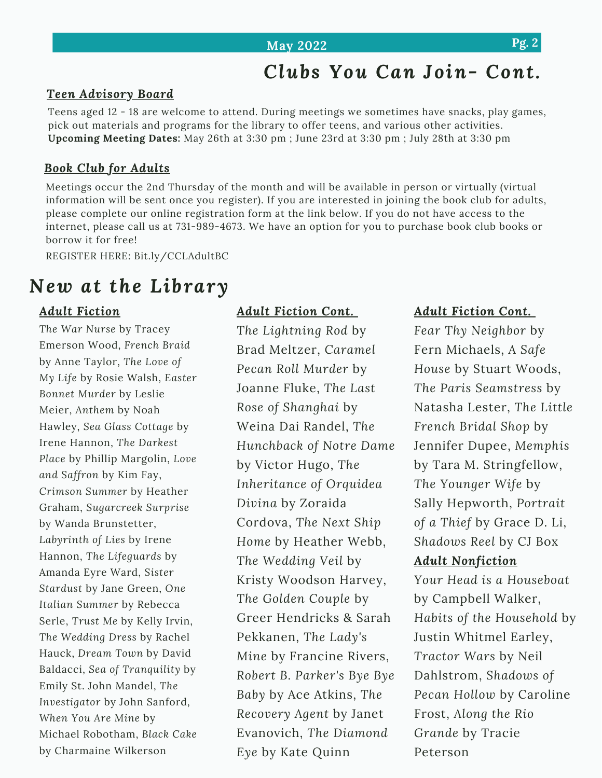#### **May 2022 Pg. 2**

## *Clubs You Can Join- Cont.*

#### *Teen Advisory Board*

Teens aged 12 - 18 are welcome to attend. During meetings we sometimes have snacks, play games, pick out materials and programs for the library to offer teens, and various other activities. **Upcoming Meeting Dates:** May 26th at 3:30 pm ; June 23rd at 3:30 pm ; July 28th at 3:30 pm

#### *Book Club for Adults*

Meetings occur the 2nd Thursday of the month and will be available in person or virtually (virtual information will be sent once you register). If you are interested in joining the book club for adults, please complete our online registration form at the link below. If you do not have access to the internet, please call us at 731-989-4673. We have an option for you to purchase book club books or borrow it for free!

REGISTER HERE: Bit.ly/CCLAdultBC

## *New at the Library*

#### *Adult Fiction*

*The War Nurse* by Tracey Emerson Wood, *French Braid* by Anne Taylor, *The Love of My Life* by Rosie Walsh, *Easter Bonnet Murder* by Leslie Meier, *Anthem* by Noah Hawley, *Sea Glass Cottage* by Irene Hannon, *The Darkest Place* by Phillip Margolin, *Love and Saffron* by Kim Fay, *Crimson Summer* by Heather Graham, *Sugarcreek Surprise* by Wanda Brunstetter, *Labyrinth of Lies* by Irene Hannon, *The Lifeguards* by Amanda Eyre Ward, *Sister Stardust* by Jane Green, *One Italian Summer* by Rebecca Serle, *Trust Me* by Kelly Irvin, *The Wedding Dress* by Rachel Hauck, *Dream Town* by David Baldacci, *Sea of Tranquility* by Emily St. John Mandel, *The Investigator* by John Sanford, *When You Are Mine* by Michael Robotham, *Black Cake* by Charmaine Wilkerson

#### *Adult Fiction Cont.*

*The Lightning Rod* by Brad Meltzer, *Caramel Pecan Roll Murder* by Joanne Fluke, *The Last Rose of Shanghai* by Weina Dai Randel, *The Hunchback of Notre Dame* by Victor Hugo, *The Inheritance of Orquidea Divina* by Zoraida Cordova, *The Next Ship Home* by Heather Webb, *The Wedding Veil* by Kristy Woodson Harvey, *The Golden Couple* by Greer Hendricks & Sarah Pekkanen, *The Lady's Mine* by Francine Rivers, *Robert B. Parker's Bye Bye Baby* by Ace Atkins, *The Recovery Agent* by Janet Evanovich, *The Diamond Eye* by Kate Quinn

#### *Adult Fiction Cont.*

*Fear Thy Neighbor* by Fern Michaels, *A Safe House* by Stuart Woods, *The Paris Seamstress* by Natasha Lester, *The Little French Bridal Shop* by Jennifer Dupee, *Memphis* by Tara M. Stringfellow, *The Younger Wife* by Sally Hepworth, *Portrait of a Thief* by Grace D. Li, *Shadows Reel* by CJ Box

#### *Adult Nonfiction*

*Your Head is a Houseboat* by Campbell Walker, *Habits of the Household* by Justin Whitmel Earley, *Tractor Wars* by Neil Dahlstrom, *Shadows of Pecan Hollow* by Caroline Frost, *Along the Rio Grande* by Tracie Peterson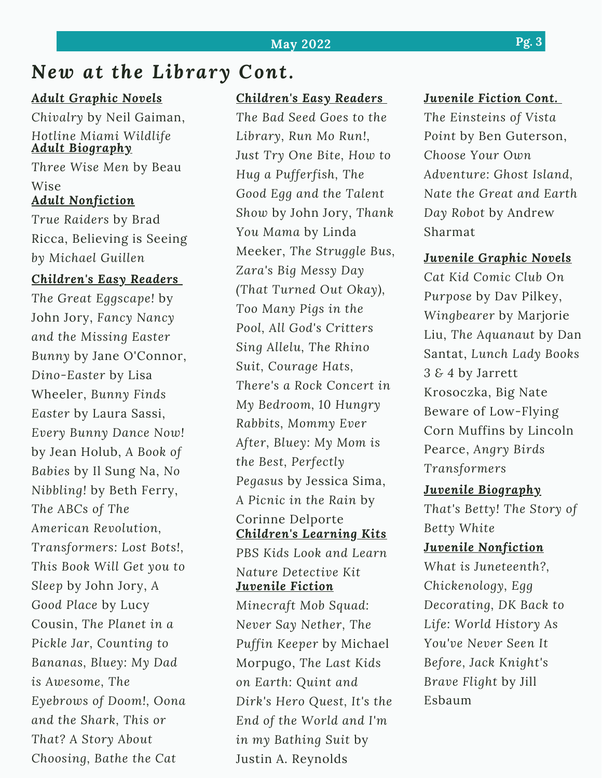#### **May 2022 Pg. 3**

### *New at the Library Cont.*

#### *Adult Graphic Novels*

*Adult Biography Chivalry* by Neil Gaiman, *Hotline Miami Wildlife*

*Three Wise Men* by Beau Wise *Adult Nonfiction*

*True Raiders* by Brad Ricca, Believing is Seeing *by Michael Guillen*

#### *Children's Easy Readers*

*The Great Eggscape!* by John Jory, *Fancy Nancy and the Missing Easter Bunny* by Jane O'Connor, *Dino-Easter* by Lisa Wheeler, *Bunny Finds Easter* by Laura Sassi, *Every Bunny Dance Now!* by Jean Holub, *A Book of Babies* by Il Sung Na, *No Nibbling!* by Beth Ferry, *The ABCs of The American Revolution, Transformers: Lost Bots!, This Book Will Get you to Sleep* by John Jory, *A Good Place* by Lucy Cousin, *The Planet in a Pickle Jar, Counting to Bananas, Bluey: My Dad is Awesome, The Eyebrows of Doom!, Oona and the Shark, This or That? A Story About Choosing, Bathe the Cat*

#### *Children's Easy Readers*

*The Bad Seed Goes to the Library, Run Mo Run!, Just Try One Bite, How to Hug a Pufferfish, The Good Egg and the Talent Show* by John Jory, *Thank You Mama* by Linda Meeker, *The Struggle Bus, Zara's Big Messy Day (That Turned Out Okay), Too Many Pigs in the Pool, All God's Critters Sing Allelu, The Rhino Suit, Courage Hats, There's a Rock Concert in My Bedroom, 10 Hungry Rabbits, Mommy Ever After, Bluey: My Mom is the Best, Perfectly Pegasus* by Jessica Sima, *A Picnic in the Rain* by Corinne Delporte *Children's Learning Kits PBS Kids Look and Learn Nature Detective Kit Juvenile Fiction Minecraft Mob Squad: Never Say Nether, The Puffin Keeper* by Michael Morpugo, *The Last Kids on Earth: Quint and Dirk's Hero Quest, It's the End of the World and I'm in my Bathing Suit* by Justin A. Reynolds

#### *Juvenile Fiction Cont.*

*The Einsteins of Vista Point* by Ben Guterson, *Choose Your Own Adventure: Ghost Island, Nate the Great and Earth Day Robot* by Andrew Sharmat

#### *Juvenile Graphic Novels*

*Cat Kid Comic Club On Purpose* by Dav Pilkey, *Wingbearer* by Marjorie Liu, *The Aquanaut* by Dan Santat, *Lunch Lady Books 3 & 4* by Jarrett Krosoczka, Big Nate Beware of Low-Flying Corn Muffins by Lincoln Pearce, *Angry Birds Transformers*

#### *Juvenile Biography*

*That's Betty! The Story of Betty White*

#### *Juvenile Nonfiction*

*What is Juneteenth?, Chickenology, Egg Decorating, DK Back to Life: World History As You've Never Seen It Before, Jack Knight's Brave Flight* by Jill Esbaum